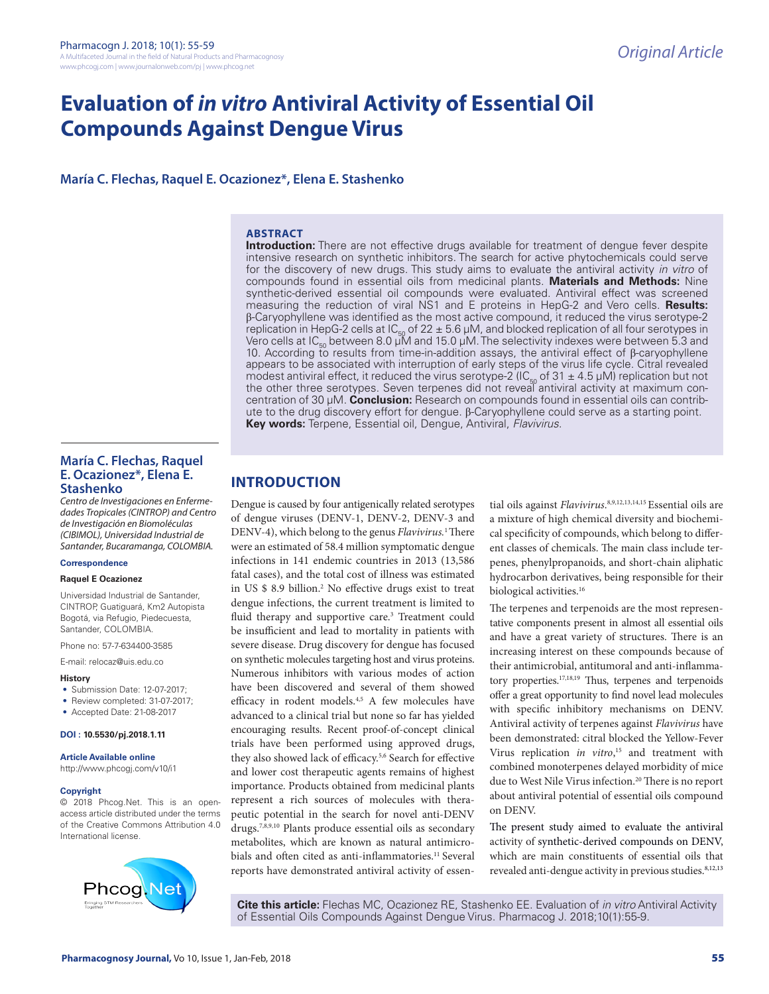# **Evaluation of** *in vitro* **Antiviral Activity of Essential Oil Compounds Against Dengue Virus**

**María C. Flechas, Raquel E. Ocazionez\*, Elena E. Stashenko**

## **ABSTRACT**

**Introduction:** There are not effective drugs available for treatment of dengue fever despite intensive research on synthetic inhibitors. The search for active phytochemicals could serve for the discovery of new drugs. This study aims to evaluate the antiviral activity *in vitro* of compounds found in essential oils from medicinal plants. **Materials and Methods:** Nine synthetic-derived essential oil compounds were evaluated. Antiviral effect was screened measuring the reduction of viral NS1 and E proteins in HepG-2 and Vero cells. **Results:** β-Caryophyllene was identified as the most active compound, it reduced the virus serotype-2 replication in HepG-2 cells at  $|C_{50}$  of 22  $\pm$  5.6 µM, and blocked replication of all four serotypes in Vero cells at IC<sub>50</sub> between 8.0 µM and 15.0 µM. The selectivity indexes were between 5.3 and 10. According to results from time-in-addition assays, the antiviral effect of β-caryophyllene appears to be associated with interruption of early steps of the virus life cycle. Citral revealed modest antiviral effect, it reduced the virus serotype-2 (IC<sub>50</sub> of 31  $\pm$  4.5 µM) replication but not<br>the other three serotypes. Seven terpenes did not reveal antiviral activity at maximum concentration of 30 µM. **Conclusion:** Research on compounds found in essential oils can contribute to the drug discovery effort for dengue. β-Caryophyllene could serve as a starting point. **Key words:** Terpene, Essential oil, Dengue, Antiviral, *Flavivirus.*

## **María C. Flechas, Raquel E. Ocazionez\*, Elena E. Stashenko**

*Centro de Investigaciones en Enfermedades Tropicales (CINTROP) and Centro de Investigación en Biomoléculas (CIBIMOL), Universidad Industrial de Santander, Bucaramanga, COLOMBIA.*

#### **Correspondence**

#### **Raquel E Ocazionez**

Universidad Industrial de Santander, CINTROP, Guatiguará, Km2 Autopista Bogotá, via Refugio, Piedecuesta, Santander, COLOMBIA.

Phone no: 57-7-634400-3585

E-mail: relocaz@uis.edu.co

#### **History**

- Submission Date: 12-07-2017;
- Review completed: 31-07-2017:
- Accepted Date: 21-08-2017

#### **DOI : 10.5530/pj.2018.1.11**

**Article Available online** 

http://www.phcogj.com/v10/i1

#### **Copyright**

© 2018 Phcog.Net. This is an openaccess article distributed under the terms of the Creative Commons Attribution 4.0 International license.



# **INTRODUCTION**

Dengue is caused by four antigenically related serotypes of dengue viruses (DENV-1, DENV-2, DENV-3 and DENV-4), which belong to the genus *Flavivirus.*1 There were an estimated of 58.4 million symptomatic dengue infections in 141 endemic countries in 2013 (13,586 fatal cases), and the total cost of illness was estimated in US \$ 8.9 billion.2 No effective drugs exist to treat dengue infections, the current treatment is limited to fluid therapy and supportive care.<sup>3</sup> Treatment could be insufficient and lead to mortality in patients with severe disease. Drug discovery for dengue has focused on synthetic molecules targeting host and virus proteins. Numerous inhibitors with various modes of action have been discovered and several of them showed efficacy in rodent models.4,5 A few molecules have advanced to a clinical trial but none so far has yielded encouraging results. Recent proof-of-concept clinical trials have been performed using approved drugs, they also showed lack of efficacy.<sup>5,6</sup> Search for effective and lower cost therapeutic agents remains of highest importance. Products obtained from medicinal plants represent a rich sources of molecules with therapeutic potential in the search for novel anti-DENV drugs.7,8,9,10 Plants produce essential oils as secondary metabolites, which are known as natural antimicrobials and often cited as anti-inflammatories.<sup>11</sup> Several reports have demonstrated antiviral activity of essen-

tial oils against *Flavivirus*. 8,9,12,13,14,15 Essential oils are a mixture of high chemical diversity and biochemical specificity of compounds, which belong to different classes of chemicals. The main class include terpenes, phenylpropanoids, and short-chain aliphatic hydrocarbon derivatives, being responsible for their biological activities.<sup>16</sup>

The terpenes and terpenoids are the most representative components present in almost all essential oils and have a great variety of structures. There is an increasing interest on these compounds because of their antimicrobial, antitumoral and anti-inflammatory properties.17,18,19 Thus, terpenes and terpenoids offer a great opportunity to find novel lead molecules with specific inhibitory mechanisms on DENV. Antiviral activity of terpenes against *Flavivirus* have been demonstrated: citral blocked the Yellow-Fever Virus replication *in vitro*, 15 and treatment with combined monoterpenes delayed morbidity of mice due to West Nile Virus infection.<sup>20</sup> There is no report about antiviral potential of essential oils compound on DENV.

The present study aimed to evaluate the antiviral activity of synthetic-derived compounds on DENV, which are main constituents of essential oils that revealed anti-dengue activity in previous studies.<sup>8,12,13</sup>

**Cite this article:** Flechas MC, Ocazionez RE, Stashenko EE. Evaluation of *in vitro* Antiviral Activity of Essential Oils Compounds Against Dengue Virus. Pharmacog J. 2018;10(1):55-9.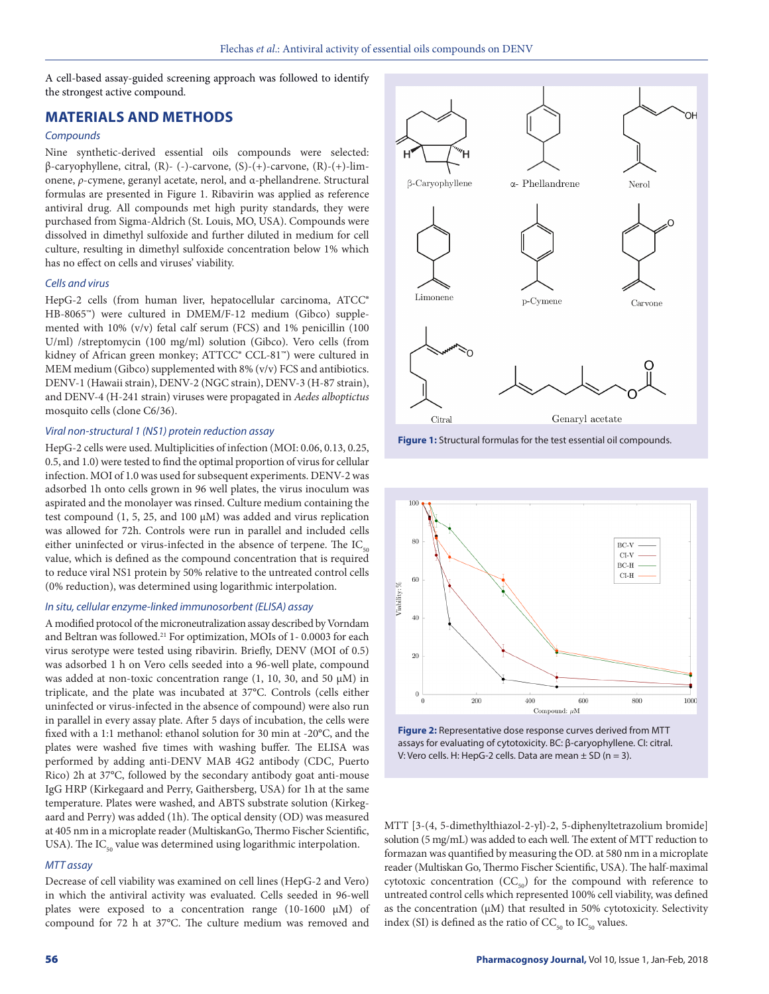A cell-based assay-guided screening approach was followed to identify the strongest active compound.

# **MATERIALS AND METHODS**

## *Compounds*

Nine synthetic-derived essential oils compounds were selected: β-caryophyllene, citral, (R)- (-)-carvone, (S)-(+)-carvone, (R)-(+)-limonene, *ρ*-cymene, geranyl acetate, nerol, and α-phellandrene. Structural formulas are presented in Figure 1. Ribavirin was applied as reference antiviral drug. All compounds met high purity standards, they were purchased from Sigma-Aldrich (St. Louis, MO, USA). Compounds were dissolved in dimethyl sulfoxide and further diluted in medium for cell culture, resulting in dimethyl sulfoxide concentration below 1% which has no effect on cells and viruses' viability.

#### *Cells and virus*

HepG-2 cells (from human liver, hepatocellular carcinoma, ATCC® HB-8065™) were cultured in DMEM/F-12 medium (Gibco) supplemented with 10% (v/v) fetal calf serum (FCS) and 1% penicillin (100 U/ml) /streptomycin (100 mg/ml) solution (Gibco). Vero cells (from kidney of African green monkey; ATTCC® CCL-81™) were cultured in MEM medium (Gibco) supplemented with 8% (v/v) FCS and antibiotics. DENV-1 (Hawaii strain), DENV-2 (NGC strain), DENV-3 (H-87 strain), and DENV-4 (H-241 strain) viruses were propagated in *Aedes alboptictus*  mosquito cells (clone C6/36).

#### *Viral non-structural 1 (NS1) protein reduction assay*

HepG-2 cells were used. Multiplicities of infection (MOI: 0.06, 0.13, 0.25, 0.5, and 1.0) were tested to find the optimal proportion of virus for cellular infection. MOI of 1.0 was used for subsequent experiments. DENV-2 was adsorbed 1h onto cells grown in 96 well plates, the virus inoculum was aspirated and the monolayer was rinsed. Culture medium containing the test compound  $(1, 5, 25, \text{ and } 100 \mu M)$  was added and virus replication was allowed for 72h. Controls were run in parallel and included cells either uninfected or virus-infected in the absence of terpene. The  $IC_{50}$ value, which is defined as the compound concentration that is required to reduce viral NS1 protein by 50% relative to the untreated control cells (0% reduction), was determined using logarithmic interpolation.

## *In situ, cellular enzyme-linked immunosorbent (ELISA) assay*

A modified protocol of the microneutralization assay described by Vorndam and Beltran was followed.<sup>21</sup> For optimization, MOIs of 1-0.0003 for each virus serotype were tested using ribavirin. Briefly, DENV (MOI of 0.5) was adsorbed 1 h on Vero cells seeded into a 96-well plate, compound was added at non-toxic concentration range  $(1, 10, 30, \text{ and } 50 \mu)$  in triplicate, and the plate was incubated at 37°C. Controls (cells either uninfected or virus-infected in the absence of compound) were also run in parallel in every assay plate. After 5 days of incubation, the cells were fixed with a 1:1 methanol: ethanol solution for 30 min at -20°C, and the plates were washed five times with washing buffer. The ELISA was performed by adding anti-DENV MAB 4G2 antibody (CDC, Puerto Rico) 2h at 37°C, followed by the secondary antibody goat anti-mouse IgG HRP (Kirkegaard and Perry, Gaithersberg, USA) for 1h at the same temperature. Plates were washed, and ABTS substrate solution (Kirkegaard and Perry) was added (1h). The optical density (OD) was measured at 405 nm in a microplate reader (MultiskanGo, Thermo Fischer Scientific, USA). The  $IC_{50}$  value was determined using logarithmic interpolation.

## *MTT assay*

Decrease of cell viability was examined on cell lines (HepG-2 and Vero) in which the antiviral activity was evaluated. Cells seeded in 96-well plates were exposed to a concentration range (10-1600 µM) of compound for 72 h at 37°C. The culture medium was removed and



**Figure 1:** Structural formulas for the test essential oil compounds.



**Figure 2:** Representative dose response curves derived from MTT assays for evaluating of cytotoxicity. BC: β-caryophyllene. CI: citral. V: Vero cells. H: HepG-2 cells. Data are mean  $\pm$  SD (n = 3).

MTT [3-(4, 5-dimethylthiazol-2-yl)-2, 5-diphenyltetrazolium bromide] solution (5 mg/mL) was added to each well. The extent of MTT reduction to formazan was quantified by measuring the OD. at 580 nm in a microplate reader (Multiskan Go, Thermo Fischer Scientific, USA). The half-maximal cytotoxic concentration  $(CC_{50})$  for the compound with reference to untreated control cells which represented 100% cell viability, was defined as the concentration  $(\mu M)$  that resulted in 50% cytotoxicity. Selectivity index (SI) is defined as the ratio of  $CC_{50}$  to  $IC_{50}$  values.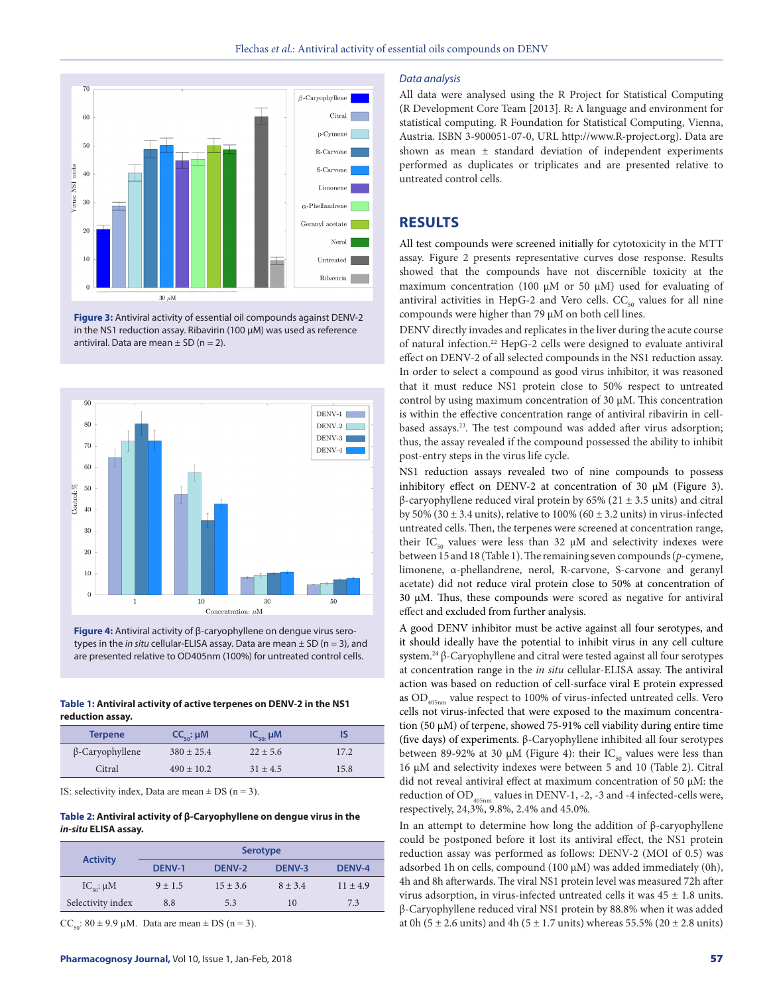

**Figure 3:** Antiviral activity of essential oil compounds against DENV-2 in the NS1 reduction assay. Ribavirin (100 µM) was used as reference antiviral. Data are mean  $\pm$  SD (n = 2).



**Figure 4:** Antiviral activity of β-caryophyllene on dengue virus serotypes in the *in situ* cellular-ELISA assay. Data are mean ± SD (n = 3), and are presented relative to OD405nm (100%) for untreated control cells.

#### **Table 1: Antiviral activity of active terpenes on DENV-2 in the NS1 reduction assay.**

| <b>Terpene</b>         | $CC_{50}$ : $\mu$ M | $IC_{so}$ $\mu$ M |      |
|------------------------|---------------------|-------------------|------|
| $\beta$ -Caryophyllene | $380 + 25.4$        | $22 + 5.6$        | 17.2 |
| Citral                 | $490 + 10.2$        | $31 + 4.5$        | 15.8 |

IS: selectivity index, Data are mean  $\pm$  DS (n = 3).

## **Table 2: Antiviral activity of β-Caryophyllene on dengue virus in the**  *in-situ* **ELISA assay.**

| <b>Activity</b>             | <b>Serotype</b> |              |               |               |  |
|-----------------------------|-----------------|--------------|---------------|---------------|--|
|                             | <b>DENV-1</b>   | DENV-2       | <b>DENV-3</b> | <b>DENV-4</b> |  |
| $IC_{\epsilon_0}$ : $\mu$ M | $9 + 1.5$       | $15 \pm 3.6$ | $8 + 3.4$     | $11 \pm 4.9$  |  |
| Selectivity index           | 8.8             | 5.3          | 10            | 7.3           |  |

 $CC_{50}$ :  $80 \pm 9.9$  µM. Data are mean  $\pm$  DS (n = 3).

#### *Data analysis*

All data were analysed using the R Project for Statistical Computing (R Development Core Team [2013]. R: A language and environment for statistical computing. R Foundation for Statistical Computing, Vienna, Austria. ISBN 3-900051-07-0, URL http://www.R-project.org). Data are shown as mean ± standard deviation of independent experiments performed as duplicates or triplicates and are presented relative to untreated control cells.

## **RESULTS**

All test compounds were screened initially for cytotoxicity in the MTT assay. Figure 2 presents representative curves dose response. Results showed that the compounds have not discernible toxicity at the maximum concentration (100  $\mu$ M or 50  $\mu$ M) used for evaluating of antiviral activities in HepG-2 and Vero cells.  $CC_{50}$  values for all nine compounds were higher than 79  $\mu$ M on both cell lines.

DENV directly invades and replicates in the liver during the acute course of natural infection.22 HepG-2 cells were designed to evaluate antiviral effect on DENV-2 of all selected compounds in the NS1 reduction assay. In order to select a compound as good virus inhibitor, it was reasoned that it must reduce NS1 protein close to 50% respect to untreated control by using maximum concentration of 30 µM. This concentration is within the effective concentration range of antiviral ribavirin in cellbased assays.<sup>23</sup>. The test compound was added after virus adsorption; thus, the assay revealed if the compound possessed the ability to inhibit post-entry steps in the virus life cycle.

NS1 reduction assays revealed two of nine compounds to possess inhibitory effect on DENV-2 at concentration of 30  $\mu$ M (Figure 3). β-caryophyllene reduced viral protein by 65% (21 ± 3.5 units) and citral by 50% (30  $\pm$  3.4 units), relative to 100% (60  $\pm$  3.2 units) in virus-infected untreated cells. Then, the terpenes were screened at concentration range, their IC<sub>50</sub> values were less than 32  $\mu$ M and selectivity indexes were between 15 and 18 (Table 1). The remaining seven compounds (*p*-cymene, limonene, α-phellandrene, nerol, R-carvone, S-carvone and geranyl acetate) did not reduce viral protein close to 50% at concentration of 30 µM. Thus, these compounds were scored as negative for antiviral effect and excluded from further analysis.

A good DENV inhibitor must be active against all four serotypes, and it should ideally have the potential to inhibit virus in any cell culture system.24 β-Caryophyllene and citral were tested against all four serotypes at concentration range in the *in situ* cellular-ELISA assay. The antiviral action was based on reduction of cell-surface viral E protein expressed as OD<sub>405nm</sub> value respect to 100% of virus-infected untreated cells. Vero cells not virus-infected that were exposed to the maximum concentration (50 µM) of terpene, showed 75-91% cell viability during entire time (five days) of experiments. β-Caryophyllene inhibited all four serotypes between 89-92% at 30  $\mu$ M (Figure 4): their IC<sub>50</sub> values were less than 16 µM and selectivity indexes were between 5 and 10 (Table 2). Citral did not reveal antiviral effect at maximum concentration of 50 µM: the reduction of  $OD$ <sub>405nm</sub> values in DENV-1, -2, -3 and -4 infected-cells were, respectively, 24,3%, 9.8%, 2.4% and 45.0%.

In an attempt to determine how long the addition of β-caryophyllene could be postponed before it lost its antiviral effect, the NS1 protein reduction assay was performed as follows: DENV-2 (MOI of 0.5) was adsorbed 1h on cells, compound (100 µM) was added immediately (0h), 4h and 8h afterwards. The viral NS1 protein level was measured 72h after virus adsorption, in virus-infected untreated cells it was  $45 \pm 1.8$  units. β-Caryophyllene reduced viral NS1 protein by 88.8% when it was added at 0h (5  $\pm$  2.6 units) and 4h (5  $\pm$  1.7 units) whereas 55.5% (20  $\pm$  2.8 units)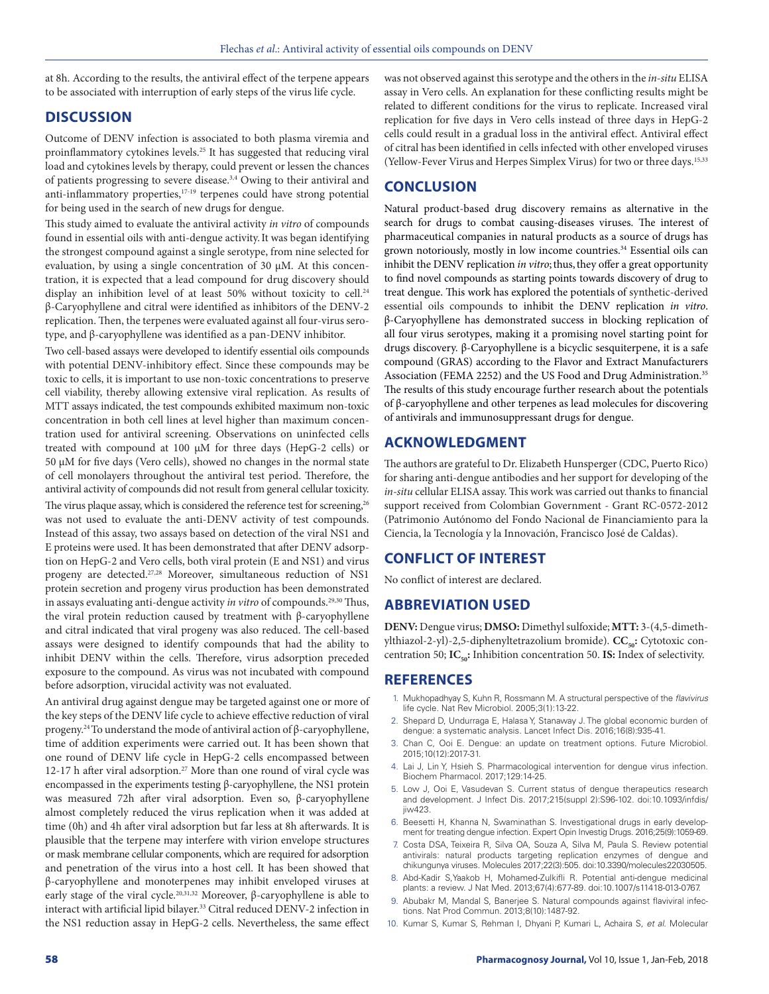at 8h. According to the results, the antiviral effect of the terpene appears to be associated with interruption of early steps of the virus life cycle.

# **DISCUSSION**

Outcome of DENV infection is associated to both plasma viremia and proinflammatory cytokines levels.<sup>25</sup> It has suggested that reducing viral load and cytokines levels by therapy, could prevent or lessen the chances of patients progressing to severe disease.<sup>3,4</sup> Owing to their antiviral and anti-inflammatory properties,<sup>17-19</sup> terpenes could have strong potential for being used in the search of new drugs for dengue.

This study aimed to evaluate the antiviral activity *in vitro* of compounds found in essential oils with anti-dengue activity.It was began identifying the strongest compound against a single serotype, from nine selected for evaluation, by using a single concentration of 30 µM. At this concentration, it is expected that a lead compound for drug discovery should display an inhibition level of at least 50% without toxicity to cell.<sup>24</sup> β-Caryophyllene and citral were identified as inhibitors of the DENV-2 replication. Then, the terpenes were evaluated against all four-virus serotype, and β-caryophyllene was identified as a pan-DENV inhibitor.

Two cell-based assays were developed to identify essential oils compounds with potential DENV-inhibitory effect. Since these compounds may be toxic to cells, it is important to use non-toxic concentrations to preserve cell viability, thereby allowing extensive viral replication. As results of MTT assays indicated, the test compounds exhibited maximum non-toxic concentration in both cell lines at level higher than maximum concentration used for antiviral screening. Observations on uninfected cells treated with compound at 100 µM for three days (HepG-2 cells) or 50 µM for five days (Vero cells), showed no changes in the normal state of cell monolayers throughout the antiviral test period. Therefore, the antiviral activity of compounds did not result from general cellular toxicity. The virus plaque assay, which is considered the reference test for screening,<sup>26</sup> was not used to evaluate the anti-DENV activity of test compounds. Instead of this assay, two assays based on detection of the viral NS1 and E proteins were used. It has been demonstrated that after DENV adsorption on HepG-2 and Vero cells, both viral protein (E and NS1) and virus progeny are detected.27,28 Moreover, simultaneous reduction of NS1 protein secretion and progeny virus production has been demonstrated in assays evaluating anti-dengue activity *in vitro* of compounds.<sup>29,30</sup> Thus, the viral protein reduction caused by treatment with β-caryophyllene and citral indicated that viral progeny was also reduced. The cell-based assays were designed to identify compounds that had the ability to inhibit DENV within the cells. Therefore, virus adsorption preceded exposure to the compound. As virus was not incubated with compound before adsorption, virucidal activity was not evaluated.

An antiviral drug against dengue may be targeted against one or more of the key steps of the DENV life cycle to achieve effective reduction of viral progeny.24 To understand the mode of antiviral action of β-caryophyllene, time of addition experiments were carried out. It has been shown that one round of DENV life cycle in HepG-2 cells encompassed between 12-17 h after viral adsorption.<sup>27</sup> More than one round of viral cycle was encompassed in the experiments testing β-caryophyllene, the NS1 protein was measured 72h after viral adsorption. Even so, β-caryophyllene almost completely reduced the virus replication when it was added at time (0h) and 4h after viral adsorption but far less at 8h afterwards. It is plausible that the terpene may interfere with virion envelope structures or mask membrane cellular components, which are required for adsorption and penetration of the virus into a host cell. It has been showed that β-caryophyllene and monoterpenes may inhibit enveloped viruses at early stage of the viral cycle.20,31,32 Moreover, β-caryophyllene is able to interact with artificial lipid bilayer.<sup>33</sup> Citral reduced DENV-2 infection in the NS1 reduction assay in HepG-2 cells. Nevertheless, the same effect

was not observed against this serotype and the others in the *in-situ* ELISA assay in Vero cells. An explanation for these conflicting results might be related to different conditions for the virus to replicate. Increased viral replication for five days in Vero cells instead of three days in HepG-2 cells could result in a gradual loss in the antiviral effect. Antiviral effect of citral has been identified in cells infected with other enveloped viruses (Yellow-Fever Virus and Herpes Simplex Virus) for two or three days.15,33

# **CONCLUSION**

Natural product-based drug discovery remains as alternative in the search for drugs to combat causing-diseases viruses. The interest of pharmaceutical companies in natural products as a source of drugs has grown notoriously, mostly in low income countries.<sup>34</sup> Essential oils can inhibit the DENV replication *in vitro*; thus, they offer a great opportunity to find novel compounds as starting points towards discovery of drug to treat dengue. This work has explored the potentials of synthetic-derived essential oils compounds to inhibit the DENV replication *in vitro*. β-Caryophyllene has demonstrated success in blocking replication of all four virus serotypes, making it a promising novel starting point for drugs discovery. β-Caryophyllene is a bicyclic sesquiterpene, it is a safe compound (GRAS) according to the Flavor and Extract Manufacturers Association (FEMA 2252) and the US Food and Drug Administration.<sup>35</sup> The results of this study encourage further research about the potentials of β-caryophyllene and other terpenes as lead molecules for discovering of antivirals and immunosuppressant drugs for dengue.

# **ACKNOWLEDGMENT**

The authors are grateful to Dr. Elizabeth Hunsperger (CDC, Puerto Rico) for sharing anti-dengue antibodies and her support for developing of the *in-situ* cellular ELISA assay. This work was carried out thanks to financial support received from Colombian Government - Grant RC-0572-2012 (Patrimonio Autónomo del Fondo Nacional de Financiamiento para la Ciencia, la Tecnología y la Innovación, Francisco José de Caldas).

## **CONFLICT OF INTEREST**

No conflict of interest are declared.

## **ABBREVIATION USED**

**DENV:** Dengue virus; **DMSO:** Dimethyl sulfoxide; **MTT:** 3-(4,5-dimethylthiazol-2-yl)-2,5-diphenyltetrazolium bromide). **CC<sub>50</sub>:** Cytotoxic concentration 50; **IC<sub>50</sub>:** Inhibition concentration 50. **IS:** Index of selectivity.

## **REFERENCES**

- 1. Mukhopadhyay S, Kuhn R, Rossmann M. A structural perspective of the *flavivirus*  life cycle. Nat Rev Microbiol. 2005;3(1):13-22.
- 2. Shepard D, Undurraga E, Halasa Y, Stanaway J. The global economic burden of dengue: a systematic analysis. Lancet Infect Dis. 2016;16(8):935-41.
- 3. Chan C, Ooi E. Dengue: an update on treatment options. Future Microbiol. 2015;10(12):2017-31.
- 4. Lai J, Lin Y, Hsieh S. Pharmacological intervention for dengue virus infection. Biochem Pharmacol. 2017;129:14-25.
- 5. Low J, Ooi E, Vasudevan S. Current status of dengue therapeutics research and development. J Infect Dis. 2017;215(suppl 2):S96-102. doi:10.1093/infdis/  $i<sub>i</sub>$ iw423.
- 6. Beesetti H, Khanna N, Swaminathan S. Investigational drugs in early development for treating dengue infection. Expert Opin Investig Drugs. 2016;25(9):1059-69.
- 7. Costa DSA, Teixeira R, Silva OA, Souza A, Silva M, Paula S. Review potential antivirals: natural products targeting replication enzymes of dengue and chikungunya viruses. Molecules 2017;22(3):505. doi:10.3390/molecules22030505.
- 8. Abd-Kadir S,Yaakob H, Mohamed-Zulkifli R. Potential anti-dengue medicinal plants: a review. J Nat Med. 2013;67(4):677-89. doi:10.1007/s11418-013-0767.
- 9. Abubakr M, Mandal S, Banerjee S. Natural compounds against flaviviral infections. Nat Prod Commun. 2013;8(10):1487-92.
- 10. Kumar S, Kumar S, Rehman I, Dhyani P, Kumari L, Achaira S, *et al*. Molecular